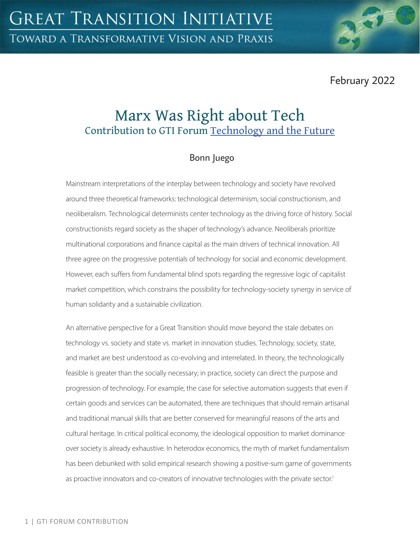February 2022

# Marx Was Right about Tech Contribution to GTI Forum [Technology and the Future](https://greattransition.org/gti-forum/tech-and-the-future)

## Bonn Juego

Mainstream interpretations of the interplay between technology and society have revolved around three theoretical frameworks: technological determinism, social constructionism, and neoliberalism. Technological determinists center technology as the driving force of history. Social constructionists regard society as the shaper of technology's advance. Neoliberals prioritize multinational corporations and finance capital as the main drivers of technical innovation. All three agree on the progressive potentials of technology for social and economic development. However, each suffers from fundamental blind spots regarding the regressive logic of capitalist market competition, which constrains the possibility for technology-society synergy in service of human solidarity and a sustainable civilization.

An alternative perspective for a Great Transition should move beyond the stale debates on technology vs. society and state vs. market in innovation studies. Technology, society, state, and market are best understood as co-evolving and interrelated. In theory, the technologically feasible is greater than the socially necessary; in practice, society can direct the purpose and progression of technology. For example, the case for selective automation suggests that even if certain goods and services can be automated, there are techniques that should remain artisanal and traditional manual skills that are better conserved for meaningful reasons of the arts and cultural heritage. In critical political economy, the ideological opposition to market dominance over society is already exhaustive. In heterodox economics, the myth of market fundamentalism has been debunked with solid empirical research showing a positive-sum game of governments as proactive innovators and co-creators of innovative technologies with the private sector.<sup>1</sup>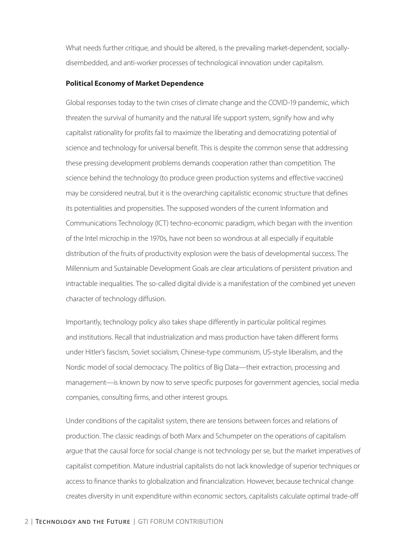What needs further critique, and should be altered, is the prevailing market-dependent, sociallydisembedded, and anti-worker processes of technological innovation under capitalism.

#### **Political Economy of Market Dependence**

Global responses today to the twin crises of climate change and the COVID-19 pandemic, which threaten the survival of humanity and the natural life support system, signify how and why capitalist rationality for profits fail to maximize the liberating and democratizing potential of science and technology for universal benefit. This is despite the common sense that addressing these pressing development problems demands cooperation rather than competition. The science behind the technology (to produce green production systems and effective vaccines) may be considered neutral, but it is the overarching capitalistic economic structure that defines its potentialities and propensities. The supposed wonders of the current Information and Communications Technology (ICT) techno-economic paradigm, which began with the invention of the Intel microchip in the 1970s, have not been so wondrous at all especially if equitable distribution of the fruits of productivity explosion were the basis of developmental success. The Millennium and Sustainable Development Goals are clear articulations of persistent privation and intractable inequalities. The so-called digital divide is a manifestation of the combined yet uneven character of technology diffusion.

Importantly, technology policy also takes shape differently in particular political regimes and institutions. Recall that industrialization and mass production have taken different forms under Hitler's fascism, Soviet socialism, Chinese-type communism, US-style liberalism, and the Nordic model of social democracy. The politics of Big Data—their extraction, processing and management—is known by now to serve specific purposes for government agencies, social media companies, consulting firms, and other interest groups.

Under conditions of the capitalist system, there are tensions between forces and relations of production. The classic readings of both Marx and Schumpeter on the operations of capitalism argue that the causal force for social change is not technology per se, but the market imperatives of capitalist competition. Mature industrial capitalists do not lack knowledge of superior techniques or access to finance thanks to globalization and financialization. However, because technical change creates diversity in unit expenditure within economic sectors, capitalists calculate optimal trade-off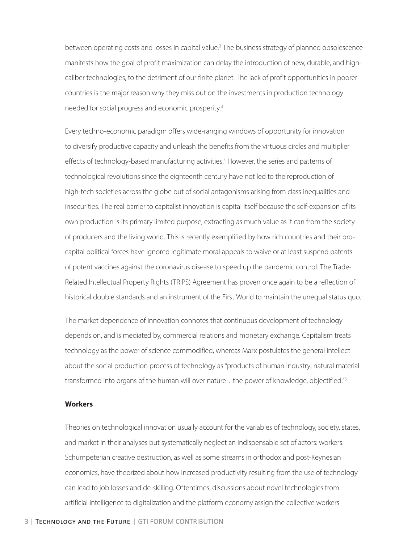between operating costs and losses in capital value.<sup>2</sup> The business strategy of planned obsolescence manifests how the goal of profit maximization can delay the introduction of new, durable, and highcaliber technologies, to the detriment of our finite planet. The lack of profit opportunities in poorer countries is the major reason why they miss out on the investments in production technology needed for social progress and economic prosperity.3

Every techno-economic paradigm offers wide-ranging windows of opportunity for innovation to diversify productive capacity and unleash the benefits from the virtuous circles and multiplier effects of technology-based manufacturing activities.<sup>4</sup> However, the series and patterns of technological revolutions since the eighteenth century have not led to the reproduction of high-tech societies across the globe but of social antagonisms arising from class inequalities and insecurities. The real barrier to capitalist innovation is capital itself because the self-expansion of its own production is its primary limited purpose, extracting as much value as it can from the society of producers and the living world. This is recently exemplified by how rich countries and their procapital political forces have ignored legitimate moral appeals to waive or at least suspend patents of potent vaccines against the coronavirus disease to speed up the pandemic control. The Trade-Related Intellectual Property Rights (TRIPS) Agreement has proven once again to be a reflection of historical double standards and an instrument of the First World to maintain the unequal status quo.

The market dependence of innovation connotes that continuous development of technology depends on, and is mediated by, commercial relations and monetary exchange. Capitalism treats technology as the power of science commodified, whereas Marx postulates the general intellect about the social production process of technology as "products of human industry; natural material transformed into organs of the human will over nature...the power of knowledge, objectified."<sup>5</sup>

#### **Workers**

Theories on technological innovation usually account for the variables of technology, society, states, and market in their analyses but systematically neglect an indispensable set of actors: workers. Schumpeterian creative destruction, as well as some streams in orthodox and post-Keynesian economics, have theorized about how increased productivity resulting from the use of technology can lead to job losses and de-skilling. Oftentimes, discussions about novel technologies from artificial intelligence to digitalization and the platform economy assign the collective workers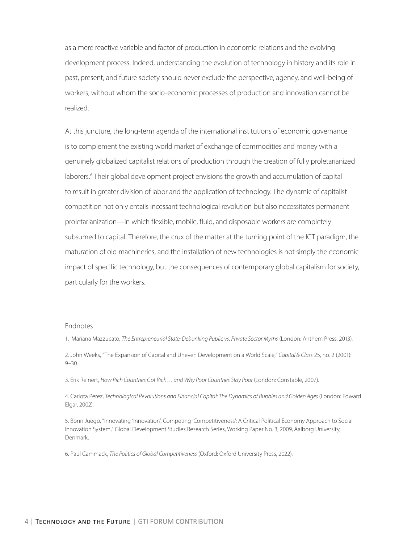as a mere reactive variable and factor of production in economic relations and the evolving development process. Indeed, understanding the evolution of technology in history and its role in past, present, and future society should never exclude the perspective, agency, and well-being of workers, without whom the socio-economic processes of production and innovation cannot be realized.

At this juncture, the long-term agenda of the international institutions of economic governance is to complement the existing world market of exchange of commodities and money with a genuinely globalized capitalist relations of production through the creation of fully proletarianized laborers.<sup>6</sup> Their global development project envisions the growth and accumulation of capital to result in greater division of labor and the application of technology. The dynamic of capitalist competition not only entails incessant technological revolution but also necessitates permanent proletarianization—in which flexible, mobile, fluid, and disposable workers are completely subsumed to capital. Therefore, the crux of the matter at the turning point of the ICT paradigm, the maturation of old machineries, and the installation of new technologies is not simply the economic impact of specific technology, but the consequences of contemporary global capitalism for society, particularly for the workers.

#### Endnotes

1. Mariana Mazzucato, *The Entrepreneurial State: Debunking Public vs. Private Sector Myths* (London: Anthem Press, 2013).

2. John Weeks, "The Expansion of Capital and Uneven Development on a World Scale," *Capital & Class* 25, no. 2 (2001): 9–30.

3. Erik Reinert, *How Rich Countries Got Rich… and Why Poor Countries Stay Poor* (London: Constable, 2007).

4. Carlota Perez, *Technological Revolutions and Financial Capital: The Dynamics of Bubbles and Golden Ages* (London: Edward Elgar, 2002).

5. Bonn Juego, "Innovating 'Innovation', Competing 'Competitiveness': A Critical Political Economy Approach to Social Innovation System," Global Development Studies Research Series, Working Paper No. 3, 2009, Aalborg University, Denmark.

6. Paul Cammack, *The Politics of Global Competitiveness* (Oxford: Oxford University Press, 2022).